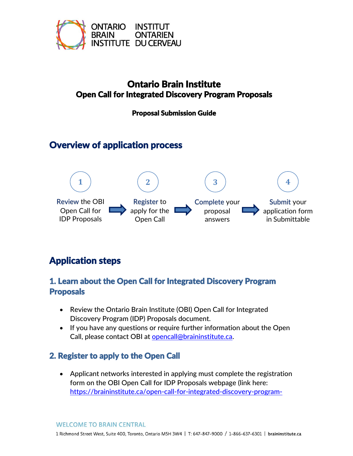

## Ontario Brain Institute Open Call for Integrated Discovery Program Proposals

Proposal Submission Guide

# Overview of application process



# Application steps

### 1. Learn about the Open Call for Integrated Discovery Program Proposals

- Review the Ontario Brain Institute (OBI) Open Call for Integrated Discovery Program (IDP) Proposals document.
- If you have any questions or require further information about the Open Call, please contact OBI at [opencall@braininstitute.ca.](mailto:opencall@braininstitute.ca)

## 2. Register to apply to the Open Call

• Applicant networks interested in applying must complete the registration form on the OBI Open Call for IDP Proposals webpage (link here: [https://braininstitute.ca/open-call-for-integrated-discovery-program-](https://braininstitute.ca/open-call-for-integrated-discovery-program-networks)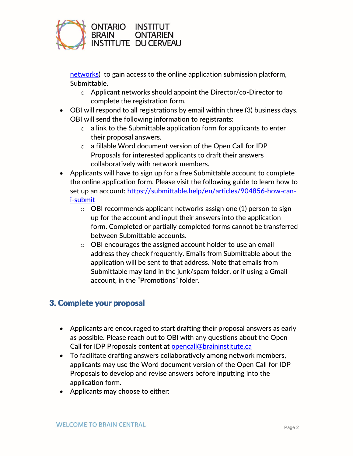

[networks\)](https://braininstitute.ca/open-call-for-integrated-discovery-program-networks) to gain access to the online application submission platform, Submittable.

- o Applicant networks should appoint the Director/co-Director to complete the registration form.
- OBI will respond to all registrations by email within three (3) business days. OBI will send the following information to registrants:
	- $\circ$  a link to the Submittable application form for applicants to enter their proposal answers.
	- o a fillable Word document version of the Open Call for IDP Proposals for interested applicants to draft their answers collaboratively with network members.
- Applicants will have to sign up for a free Submittable account to complete the online application form. Please visit the following guide to learn how to set up an account: [https://submittable.help/en/articles/904856-how-can](https://submittable.help/en/articles/904856-how-can-i-submit)[i-submit](https://submittable.help/en/articles/904856-how-can-i-submit)
	- o OBI recommends applicant networks assign one (1) person to sign up for the account and input their answers into the application form. Completed or partially completed forms cannot be transferred between Submittable accounts.
	- o OBI encourages the assigned account holder to use an email address they check frequently. Emails from Submittable about the application will be sent to that address. Note that emails from Submittable may land in the junk/spam folder, or if using a Gmail account, in the "Promotions" folder.

#### 3. Complete your proposal

- Applicants are encouraged to start drafting their proposal answers as early as possible. Please reach out to OBI with any questions about the Open Call for IDP Proposals content at [opencall@braininstitute.ca](mailto:opencall@braininstitute.ca)
- To facilitate drafting answers collaboratively among network members, applicants may use the Word document version of the Open Call for IDP Proposals to develop and revise answers before inputting into the application form.
- Applicants may choose to either: